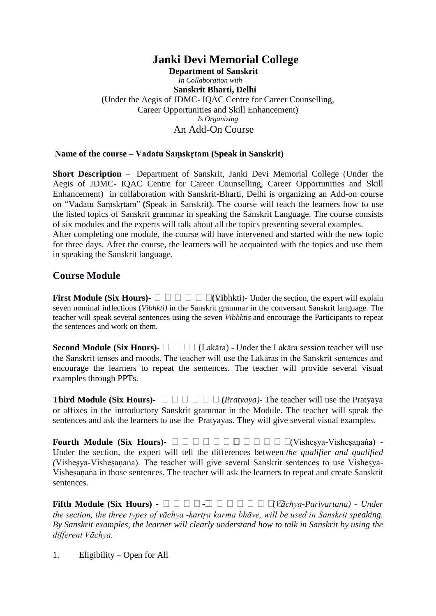## **Janki Devi Memorial College**

 **Department of Sanskrit** *In Collaboration with* **Sanskrit Bharti, Delhi** (Under the Aegis of JDMC- IQAC Centre for Career Counselling, Career Opportunities and Skill Enhancement) *Is Organizing* An Add-On Course

## **Name of the course – Vadatu Saṃskṛtam (Speak in Sanskrit)**

**Short Description** – Department of Sanskrit, Janki Devi Memorial College (Under the Aegis of JDMC- IQAC Centre for Career Counselling, Career Opportunities and Skill Enhancement) in collaboration with Sanskrit-Bharti, Delhi is organizing an Add-on course on "Vadatu Saṃskṛtam" **(**Speak in Sanskrit). The course will teach the learners how to use the listed topics of Sanskrit grammar in speaking the Sanskrit Language. The course consists of six modules and the experts will talk about all the topics presenting several examples. After completing one module, the course will have intervened and started with the new topic

for three days. After the course, the learners will be acquainted with the topics and use them in speaking the Sanskrit language.

## **Course Module**

**First Module (Six Hours)- (**Vibhkti)- Under the section, the expert will explain seven nominal inflections (*Vibhkti)* in the Sanskrit grammar in the conversant Sanskrit language. The teacher will speak several sentences using the seven *Vibhktis* and encourage the Participants to repeat the sentences and work on them.

**Second Module (Six Hours)-**  $\Box$   $\Box$   $\Box$   $\Box$  [Lakāra) - Under the Lakāra session teacher will use the Sanskrit tenses and moods. The teacher will use the Lakāras in the Sanskrit sentences and encourage the learners to repeat the sentences. The teacher will provide several visual examples through PPTs.

**Third Module (Six Hours)-** (*Pratyaya)-* The teacher will use the Pratyaya or affixes in the introductory Sanskrit grammar in the Module. The teacher will speak the sentences and ask the learners to use the Pratyayas. They will give several visual examples.

**Fourth Module (Six Hours)-** (Visheṣya-Visheṣaṇaṅa) - Under the section, the expert will tell the differences between *the qualifier and qualified (Vishesya-Vishesanaña)*. The teacher will give several Sanskrit sentences to use Vishesya-Vishesanaña in those sentences. The teacher will ask the learners to repeat and create Sanskrit sentences.

**Fifth Module (Six Hours) -** - (*Vāchya-Parivartana) - Under the section, the three types of vāchya* -*kartṛa karma bhāve, will be used in Sanskrit speaking. By Sanskrit examples, the learner will clearly understand how to talk in Sanskrit by using the different Vāchya.*

1. Eligibility – Open for All